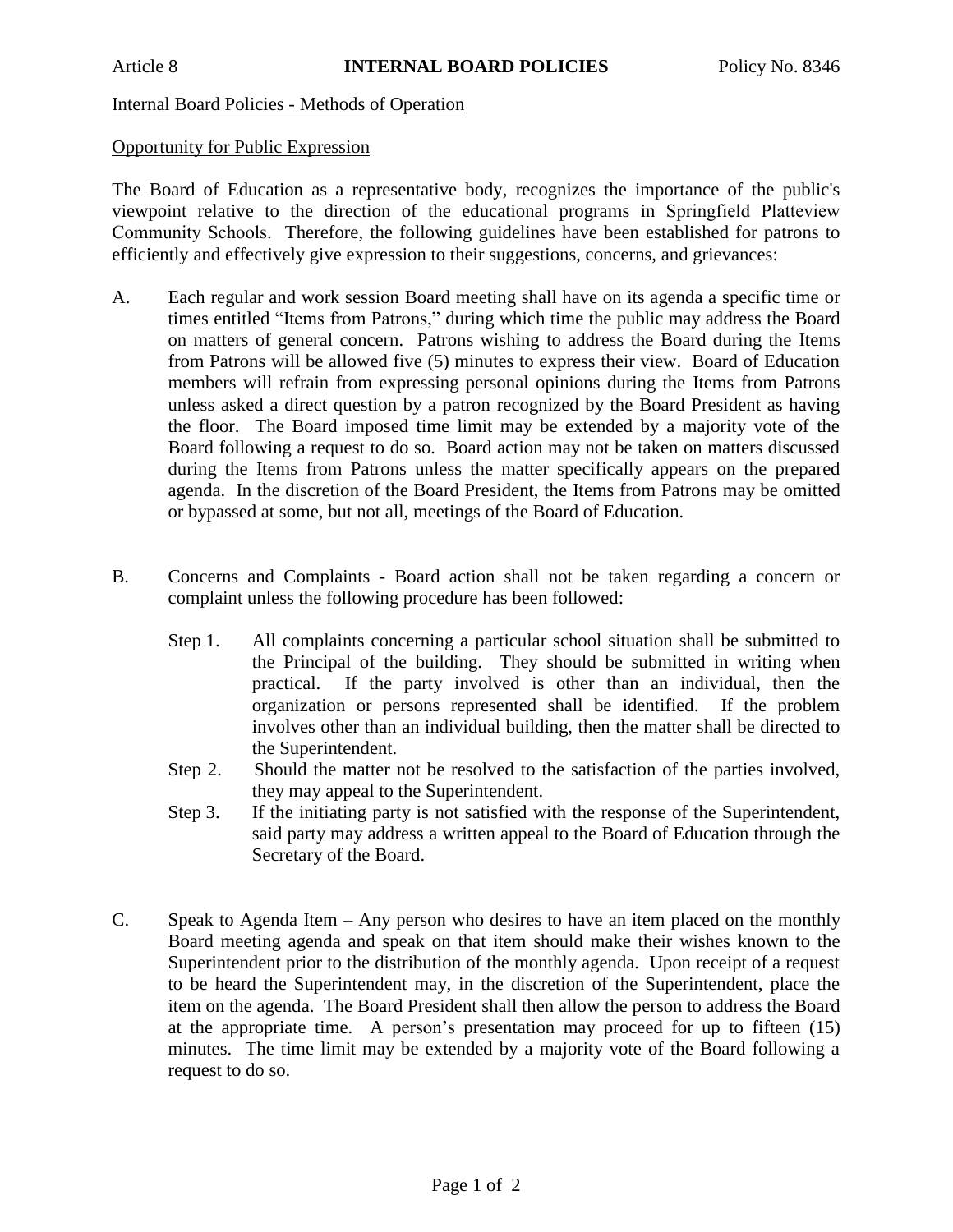## Internal Board Policies - Methods of Operation

## Opportunity for Public Expression

The Board of Education as a representative body, recognizes the importance of the public's viewpoint relative to the direction of the educational programs in Springfield Platteview Community Schools. Therefore, the following guidelines have been established for patrons to efficiently and effectively give expression to their suggestions, concerns, and grievances:

- A. Each regular and work session Board meeting shall have on its agenda a specific time or times entitled "Items from Patrons," during which time the public may address the Board on matters of general concern. Patrons wishing to address the Board during the Items from Patrons will be allowed five (5) minutes to express their view. Board of Education members will refrain from expressing personal opinions during the Items from Patrons unless asked a direct question by a patron recognized by the Board President as having the floor. The Board imposed time limit may be extended by a majority vote of the Board following a request to do so. Board action may not be taken on matters discussed during the Items from Patrons unless the matter specifically appears on the prepared agenda. In the discretion of the Board President, the Items from Patrons may be omitted or bypassed at some, but not all, meetings of the Board of Education.
- B. Concerns and Complaints Board action shall not be taken regarding a concern or complaint unless the following procedure has been followed:
	- Step 1. All complaints concerning a particular school situation shall be submitted to the Principal of the building. They should be submitted in writing when practical. If the party involved is other than an individual, then the organization or persons represented shall be identified. If the problem involves other than an individual building, then the matter shall be directed to the Superintendent.
	- Step 2. Should the matter not be resolved to the satisfaction of the parties involved, they may appeal to the Superintendent.
	- Step 3. If the initiating party is not satisfied with the response of the Superintendent, said party may address a written appeal to the Board of Education through the Secretary of the Board.
- C. Speak to Agenda Item Any person who desires to have an item placed on the monthly Board meeting agenda and speak on that item should make their wishes known to the Superintendent prior to the distribution of the monthly agenda. Upon receipt of a request to be heard the Superintendent may, in the discretion of the Superintendent, place the item on the agenda. The Board President shall then allow the person to address the Board at the appropriate time. A person's presentation may proceed for up to fifteen (15) minutes. The time limit may be extended by a majority vote of the Board following a request to do so.